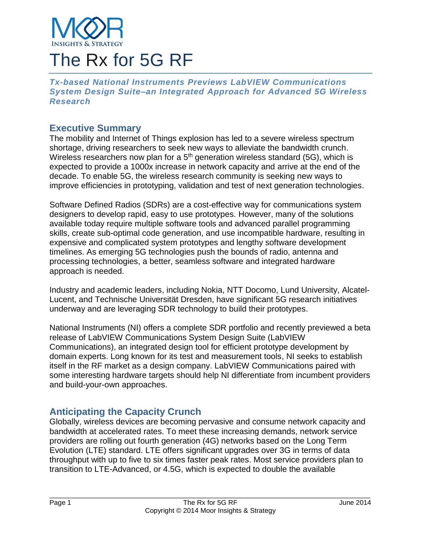

# The Rx for 5G RF

*Tx-based National Instruments Previews LabVIEW Communications System Design Suite–an Integrated Approach for Advanced 5G Wireless Research*

## **Executive Summary**

The mobility and Internet of Things explosion has led to a severe wireless spectrum shortage, driving researchers to seek new ways to alleviate the bandwidth crunch. Wireless researchers now plan for a  $5<sup>th</sup>$  generation wireless standard (5G), which is expected to provide a 1000x increase in network capacity and arrive at the end of the decade. To enable 5G, the wireless research community is seeking new ways to improve efficiencies in prototyping, validation and test of next generation technologies.

Software Defined Radios (SDRs) are a cost-effective way for communications system designers to develop rapid, easy to use prototypes. However, many of the solutions available today require multiple software tools and advanced parallel programming skills, create sub-optimal code generation, and use incompatible hardware, resulting in expensive and complicated system prototypes and lengthy software development timelines. As emerging 5G technologies push the bounds of radio, antenna and processing technologies, a better, seamless software and integrated hardware approach is needed.

Industry and academic leaders, including Nokia, NTT Docomo, Lund University, Alcatel-Lucent, and Technische Universität Dresden, have significant 5G research initiatives underway and are leveraging SDR technology to build their prototypes.

National Instruments (NI) offers a complete SDR portfolio and recently previewed a beta release of LabVIEW Communications System Design Suite (LabVIEW Communications), an integrated design tool for efficient prototype development by domain experts. Long known for its test and measurement tools, NI seeks to establish itself in the RF market as a design company. LabVIEW Communications paired with some interesting hardware targets should help NI differentiate from incumbent providers and build-your-own approaches.

# **Anticipating the Capacity Crunch**

Globally, wireless devices are becoming pervasive and consume network capacity and bandwidth at accelerated rates. To meet these increasing demands, network service providers are rolling out fourth generation (4G) networks based on the Long Term Evolution (LTE) standard. LTE offers significant upgrades over 3G in terms of data throughput with up to five to six times faster peak rates. Most service providers plan to transition to LTE-Advanced, or 4.5G, which is expected to double the available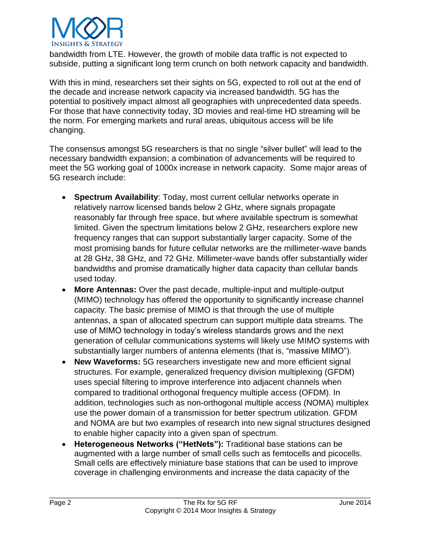

bandwidth from LTE. However, the growth of mobile data traffic is not expected to subside, putting a significant long term crunch on both network capacity and bandwidth.

With this in mind, researchers set their sights on 5G, expected to roll out at the end of the decade and increase network capacity via increased bandwidth. 5G has the potential to positively impact almost all geographies with unprecedented data speeds. For those that have connectivity today, 3D movies and real-time HD streaming will be the norm. For emerging markets and rural areas, ubiquitous access will be life changing.

The consensus amongst 5G researchers is that no single "silver bullet" will lead to the necessary bandwidth expansion; a combination of advancements will be required to meet the 5G working goal of 1000x increase in network capacity. Some major areas of 5G research include:

- **Spectrum Availability**: Today, most current cellular networks operate in relatively narrow licensed bands below 2 GHz, where signals propagate reasonably far through free space, but where available spectrum is somewhat limited. Given the spectrum limitations below 2 GHz, researchers explore new frequency ranges that can support substantially larger capacity. Some of the most promising bands for future cellular networks are the millimeter-wave bands at 28 GHz, 38 GHz, and 72 GHz. Millimeter-wave bands offer substantially wider bandwidths and promise dramatically higher data capacity than cellular bands used today.
- **More Antennas:** Over the past decade, multiple-input and multiple-output (MIMO) technology has offered the opportunity to significantly increase channel capacity. The basic premise of MIMO is that through the use of multiple antennas, a span of allocated spectrum can support multiple data streams. The use of MIMO technology in today's wireless standards grows and the next generation of cellular communications systems will likely use MIMO systems with substantially larger numbers of antenna elements (that is, "massive MIMO").
- **New Waveforms:** 5G researchers investigate new and more efficient signal structures. For example, generalized frequency division multiplexing (GFDM) uses special filtering to improve interference into adjacent channels when compared to traditional orthogonal frequency multiple access (OFDM). In addition, technologies such as non-orthogonal multiple access (NOMA) multiplex use the power domain of a transmission for better spectrum utilization. GFDM and NOMA are but two examples of research into new signal structures designed to enable higher capacity into a given span of spectrum.
- **Heterogeneous Networks ("HetNets"):** Traditional base stations can be augmented with a large number of small cells such as femtocells and picocells. Small cells are effectively miniature base stations that can be used to improve coverage in challenging environments and increase the data capacity of the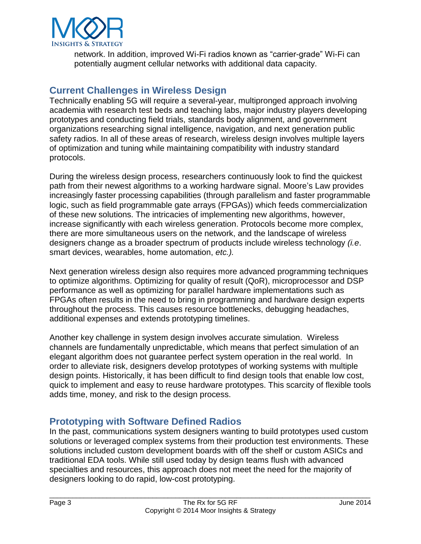

network. In addition, improved Wi-Fi radios known as "carrier-grade" Wi-Fi can potentially augment cellular networks with additional data capacity.

## **Current Challenges in Wireless Design**

Technically enabling 5G will require a several-year, multipronged approach involving academia with research test beds and teaching labs, major industry players developing prototypes and conducting field trials, standards body alignment, and government organizations researching signal intelligence, navigation, and next generation public safety radios. In all of these areas of research, wireless design involves multiple layers of optimization and tuning while maintaining compatibility with industry standard protocols.

During the wireless design process, researchers continuously look to find the quickest path from their newest algorithms to a working hardware signal. Moore's Law provides increasingly faster processing capabilities (through parallelism and faster programmable logic, such as field programmable gate arrays (FPGAs)) which feeds commercialization of these new solutions. The intricacies of implementing new algorithms, however, increase significantly with each wireless generation. Protocols become more complex, there are more simultaneous users on the network, and the landscape of wireless designers change as a broader spectrum of products include wireless technology *(i.e*. smart devices, wearables, home automation, *etc.).*

Next generation wireless design also requires more advanced programming techniques to optimize algorithms. Optimizing for quality of result (QoR), microprocessor and DSP performance as well as optimizing for parallel hardware implementations such as FPGAs often results in the need to bring in programming and hardware design experts throughout the process. This causes resource bottlenecks, debugging headaches, additional expenses and extends prototyping timelines.

Another key challenge in system design involves accurate simulation. Wireless channels are fundamentally unpredictable, which means that perfect simulation of an elegant algorithm does not guarantee perfect system operation in the real world. In order to alleviate risk, designers develop prototypes of working systems with multiple design points. Historically, it has been difficult to find design tools that enable low cost, quick to implement and easy to reuse hardware prototypes. This scarcity of flexible tools adds time, money, and risk to the design process.

## **Prototyping with Software Defined Radios**

In the past, communications system designers wanting to build prototypes used custom solutions or leveraged complex systems from their production test environments. These solutions included custom development boards with off the shelf or custom ASICs and traditional EDA tools. While still used today by design teams flush with advanced specialties and resources, this approach does not meet the need for the majority of designers looking to do rapid, low-cost prototyping.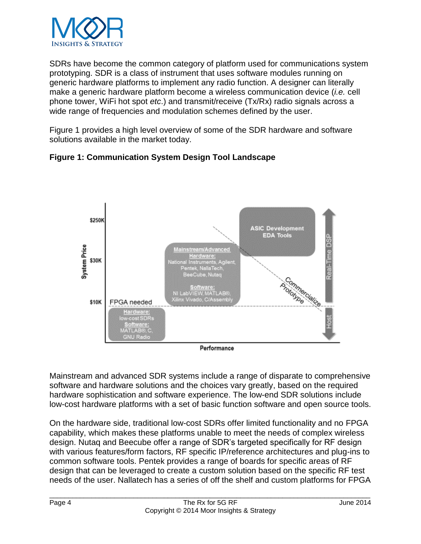

SDRs have become the common category of platform used for communications system prototyping. SDR is a class of instrument that uses software modules running on generic hardware platforms to implement any radio function. A designer can literally make a generic hardware platform become a wireless communication device (*i.e.* cell phone tower, WiFi hot spot *etc*.) and transmit/receive (Tx/Rx) radio signals across a wide range of frequencies and modulation schemes defined by the user.

Figure 1 provides a high level overview of some of the SDR hardware and software solutions available in the market today.





Performance

Mainstream and advanced SDR systems include a range of disparate to comprehensive software and hardware solutions and the choices vary greatly, based on the required hardware sophistication and software experience. The low-end SDR solutions include low-cost hardware platforms with a set of basic function software and open source tools.

On the hardware side, traditional low-cost SDRs offer limited functionality and no FPGA capability, which makes these platforms unable to meet the needs of complex wireless design. Nutaq and Beecube offer a range of SDR's targeted specifically for RF design with various features/form factors, RF specific IP/reference architectures and plug-ins to common software tools. Pentek provides a range of boards for specific areas of RF design that can be leveraged to create a custom solution based on the specific RF test needs of the user. Nallatech has a series of off the shelf and custom platforms for FPGA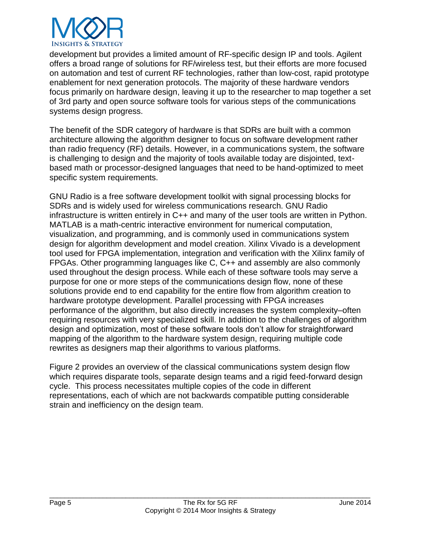

development but provides a limited amount of RF-specific design IP and tools. Agilent offers a broad range of solutions for RF/wireless test, but their efforts are more focused on automation and test of current RF technologies, rather than low-cost, rapid prototype enablement for next generation protocols. The majority of these hardware vendors focus primarily on hardware design, leaving it up to the researcher to map together a set of 3rd party and open source software tools for various steps of the communications systems design progress.

The benefit of the SDR category of hardware is that SDRs are built with a common architecture allowing the algorithm designer to focus on software development rather than radio frequency (RF) details. However, in a communications system, the software is challenging to design and the majority of tools available today are disjointed, textbased math or processor-designed languages that need to be hand-optimized to meet specific system requirements.

GNU Radio is a free software development toolkit with signal processing blocks for SDRs and is widely used for wireless communications research. GNU Radio infrastructure is written entirely in C++ and many of the user tools are written in Python. MATLAB is a math-centric interactive environment for numerical computation, visualization, and programming, and is commonly used in communications system design for algorithm development and model creation. Xilinx Vivado is a development tool used for FPGA implementation, integration and verification with the Xilinx family of FPGAs. Other programming languages like C, C++ and assembly are also commonly used throughout the design process. While each of these software tools may serve a purpose for one or more steps of the communications design flow, none of these solutions provide end to end capability for the entire flow from algorithm creation to hardware prototype development. Parallel processing with FPGA increases performance of the algorithm, but also directly increases the system complexity–often requiring resources with very specialized skill. In addition to the challenges of algorithm design and optimization, most of these software tools don't allow for straightforward mapping of the algorithm to the hardware system design, requiring multiple code rewrites as designers map their algorithms to various platforms.

Figure 2 provides an overview of the classical communications system design flow which requires disparate tools, separate design teams and a rigid feed-forward design cycle. This process necessitates multiple copies of the code in different representations, each of which are not backwards compatible putting considerable strain and inefficiency on the design team.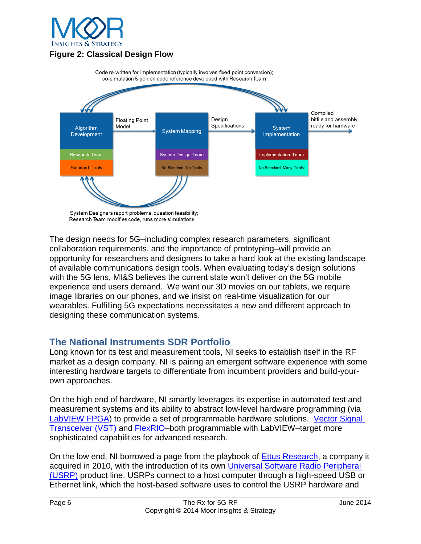

## **Figure 2: Classical Design Flow**



System Designers report problems, question feasibility; Research Team modifies code, runs more simulations

The design needs for 5G–including complex research parameters, significant collaboration requirements, and the importance of prototyping–will provide an opportunity for researchers and designers to take a hard look at the existing landscape of available communications design tools. When evaluating today's design solutions with the 5G lens, MI&S believes the current state won't deliver on the 5G mobile experience end users demand. We want our 3D movies on our tablets, we require image libraries on our phones, and we insist on real-time visualization for our wearables. Fulfilling 5G expectations necessitates a new and different approach to designing these communication systems.

## **The National Instruments SDR Portfolio**

Long known for its test and measurement tools, NI seeks to establish itself in the RF market as a design company. NI is pairing an emergent software experience with some interesting hardware targets to differentiate from incumbent providers and build-yourown approaches.

On the high end of hardware, NI smartly leverages its expertise in automated test and measurement systems and its ability to abstract low-level hardware programming (via [LabVIEW FPGA\)](http://www.ni.com/labview/fpga/) to provide a set of programmable hardware solutions. [Vector Signal](http://www.ni.com/vst/)  [Transceiver \(VST\)](http://www.ni.com/vst/) and [FlexRIO–](http://www.ni.com/flexrio/)both programmable with LabVIEW–target more sophisticated capabilities for advanced research.

On the low end, NI borrowed a page from the playbook of [Ettus Research,](http://www.ettus.com/) a company it acquired in 2010, with the introduction of its own [Universal Software Radio Peripheral](http://www.ni.com/usrp/) [\(USRP\)](http://www.ni.com/usrp/) product line. USRPs connect to a host computer through a high-speed USB or Ethernet link, which the host-based software uses to control the USRP hardware and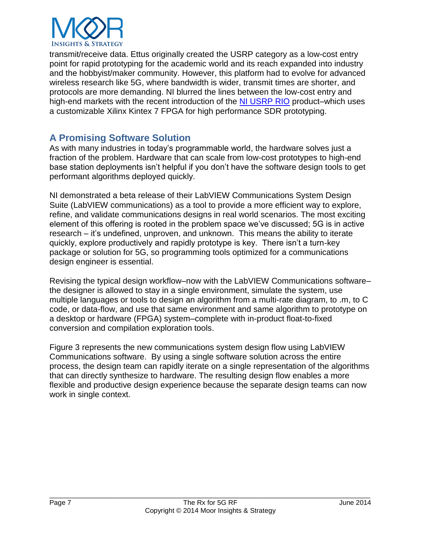

transmit/receive data. Ettus originally created the USRP category as a low-cost entry point for rapid prototyping for the academic world and its reach expanded into industry and the hobbyist/maker community. However, this platform had to evolve for advanced wireless research like 5G, where bandwidth is wider, transmit times are shorter, and protocols are more demanding. NI blurred the lines between the low-cost entry and high-end markets with the recent introduction of the [NI USRP RIO](http://sine.ni.com/nips/cds/view/p/lang/en/nid/212174) product–which uses a customizable Xilinx Kintex 7 FPGA for high performance SDR prototyping.

## **A Promising Software Solution**

As with many industries in today's programmable world, the hardware solves just a fraction of the problem. Hardware that can scale from low-cost prototypes to high-end base station deployments isn't helpful if you don't have the software design tools to get performant algorithms deployed quickly.

NI demonstrated a beta release of their LabVIEW Communications System Design Suite (LabVIEW communications) as a tool to provide a more efficient way to explore, refine, and validate communications designs in real world scenarios. The most exciting element of this offering is rooted in the problem space we've discussed; 5G is in active research – it's undefined, unproven, and unknown. This means the ability to iterate quickly, explore productively and rapidly prototype is key. There isn't a turn-key package or solution for 5G, so programming tools optimized for a communications design engineer is essential.

Revising the typical design workflow–now with the LabVIEW Communications software– the designer is allowed to stay in a single environment, simulate the system, use multiple languages or tools to design an algorithm from a multi-rate diagram, to .m, to C code, or data-flow, and use that same environment and same algorithm to prototype on a desktop or hardware (FPGA) system–complete with in-product float-to-fixed conversion and compilation exploration tools.

Figure 3 represents the new communications system design flow using LabVIEW Communications software. By using a single software solution across the entire process, the design team can rapidly iterate on a single representation of the algorithms that can directly synthesize to hardware. The resulting design flow enables a more flexible and productive design experience because the separate design teams can now work in single context.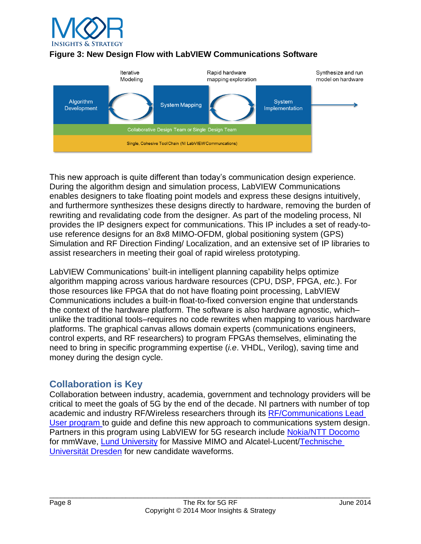

#### **Figure 3: New Design Flow with LabVIEW Communications Software**



This new approach is quite different than today's communication design experience. During the algorithm design and simulation process, LabVIEW Communications enables designers to take floating point models and express these designs intuitively, and furthermore synthesizes these designs directly to hardware, removing the burden of rewriting and revalidating code from the designer. As part of the modeling process, NI provides the IP designers expect for communications. This IP includes a set of ready-touse reference designs for an 8x8 MIMO-OFDM, global positioning system (GPS) Simulation and RF Direction Finding/ Localization, and an extensive set of IP libraries to assist researchers in meeting their goal of rapid wireless prototyping.

LabVIEW Communications' built-in intelligent planning capability helps optimize algorithm mapping across various hardware resources (CPU, DSP, FPGA, *etc*.). For those resources like FPGA that do not have floating point processing, LabVIEW Communications includes a built-in float-to-fixed conversion engine that understands the context of the hardware platform. The software is also hardware agnostic, which– unlike the traditional tools–requires no code rewrites when mapping to various hardware platforms. The graphical canvas allows domain experts (communications engineers, control experts, and RF researchers) to program FPGAs themselves, eliminating the need to bring in specific programming expertise (*i.e*. VHDL, Verilog), saving time and money during the design cycle.

# **Collaboration is Key**

Collaboration between industry, academia, government and technology providers will be critical to meet the goals of 5G by the end of the decade. NI partners with number of top academic and industry RF/Wireless researchers through its [RF/Communications Lead](http://www.ni.com/newsroom/release/national-instruments-lead-user-program-paving-the-way-for-5g-wireless/en/)  [User program](http://www.ni.com/newsroom/release/national-instruments-lead-user-program-paving-the-way-for-5g-wireless/en/) to guide and define this new approach to communications system design. Partners in this program using LabVIEW for 5G research include [Nokia/NTT Docomo](http://www.ciol.com/ciol/news/214406/nokia-ntt-docomo-pave-5g) for mmWave, [Lund University](http://www.ni.com/newsroom/release/national-instruments-and-lund-university-announce-massive-mimo-collaboration/en/) for Massive MIMO and Alcatel-Lucent[/Technische](http://www.microwavejournal.com/ext/resources/whitepapers/2012/december2012/TU-Dresden-uses-NI-Platform-for-5G-Research.pdf?1355412195)  [Universität Dresden](http://www.microwavejournal.com/ext/resources/whitepapers/2012/december2012/TU-Dresden-uses-NI-Platform-for-5G-Research.pdf?1355412195) for new candidate waveforms.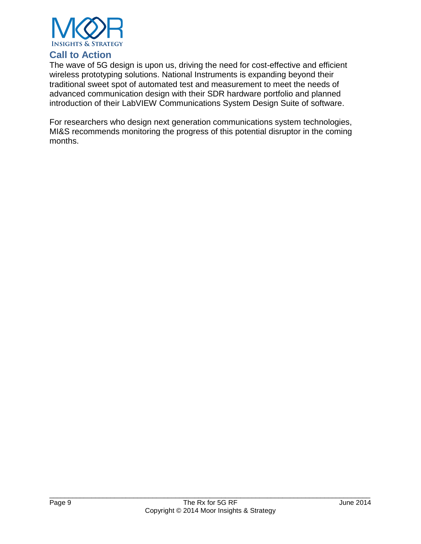

## **Call to Action**

The wave of 5G design is upon us, driving the need for cost-effective and efficient wireless prototyping solutions. National Instruments is expanding beyond their traditional sweet spot of automated test and measurement to meet the needs of advanced communication design with their SDR hardware portfolio and planned introduction of their LabVIEW Communications System Design Suite of software.

For researchers who design next generation communications system technologies, MI&S recommends monitoring the progress of this potential disruptor in the coming months.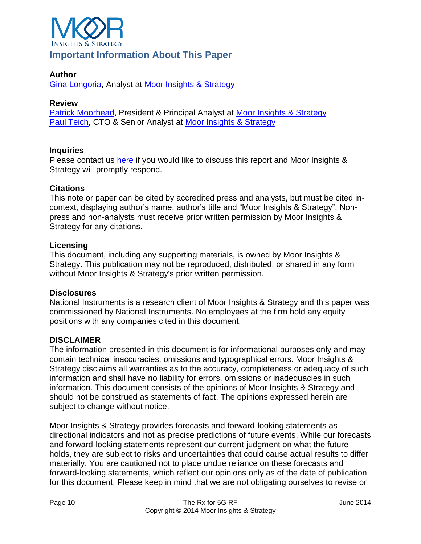

# **Important Information About This Paper**

#### **Author**

[Gina Longoria,](mailto:gina@moorinsightsstrategy.com) Analyst at [Moor Insights & Strategy](http://www.moorinsightsstrategy.com/)

#### **Review**

[Patrick Moorhead,](mailto:patrick@moorinsightsstrategy.com) President & Principal Analyst at [Moor Insights & Strategy](http://www.moorinsightsstrategy.com/) [Paul Teich,](mailto:paul@moorinsightsstrategy.com) CTO & Senior Analyst at [Moor Insights & Strategy](http://www.moorinsightsstrategy.com/)

#### **Inquiries**

Please contact us [here](mailto:patrick@moorinsightsstrategy.com) if you would like to discuss this report and Moor Insights & Strategy will promptly respond.

#### **Citations**

This note or paper can be cited by accredited press and analysts, but must be cited incontext, displaying author's name, author's title and "Moor Insights & Strategy". Nonpress and non-analysts must receive prior written permission by Moor Insights & Strategy for any citations.

#### **Licensing**

This document, including any supporting materials, is owned by Moor Insights & Strategy. This publication may not be reproduced, distributed, or shared in any form without Moor Insights & Strategy's prior written permission.

#### **Disclosures**

National Instruments is a research client of Moor Insights & Strategy and this paper was commissioned by National Instruments. No employees at the firm hold any equity positions with any companies cited in this document.

#### **DISCLAIMER**

The information presented in this document is for informational purposes only and may contain technical inaccuracies, omissions and typographical errors. Moor Insights & Strategy disclaims all warranties as to the accuracy, completeness or adequacy of such information and shall have no liability for errors, omissions or inadequacies in such information. This document consists of the opinions of Moor Insights & Strategy and should not be construed as statements of fact. The opinions expressed herein are subject to change without notice.

Moor Insights & Strategy provides forecasts and forward-looking statements as directional indicators and not as precise predictions of future events. While our forecasts and forward-looking statements represent our current judgment on what the future holds, they are subject to risks and uncertainties that could cause actual results to differ materially. You are cautioned not to place undue reliance on these forecasts and forward-looking statements, which reflect our opinions only as of the date of publication for this document. Please keep in mind that we are not obligating ourselves to revise or